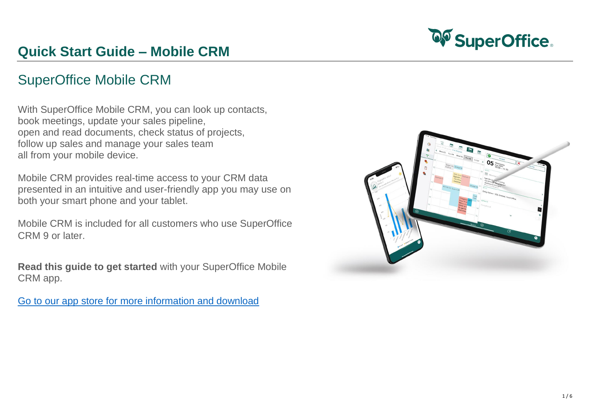## SuperOffice Mobile CRM

With SuperOffice Mobile CRM, you can look up contacts, book meetings, update your sales pipeline, open and read documents, check status of projects, follow up sales and manage your sales team all from your mobile device.

Mobile CRM provides real-time access to your CRM data presented in an intuitive and user-friendly app you may use on both your smart phone and your tablet.

Mobile CRM is included for all customers who use SuperOffice CRM 9 or later.

**Read this guide to get started** with your SuperOffice Mobile CRM app.

[Go to our app store for more information and download](https://online.superoffice.com/appstore/superoffice-as/superoffice-mobile-crm)



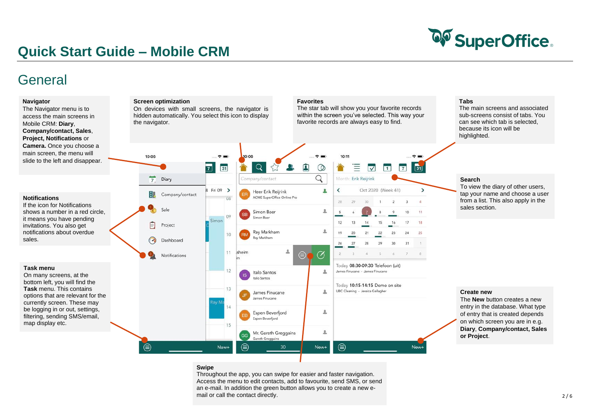

### General

### **Create new**

The **New** button creates a new entry in the database. What type of entry that is created depends on which screen you are in e.g. **Diary**, **Company/contact, Sales or Project**.

### **Search**

To view the diary of other users, tap your name and choose a user from a list. This also apply in the sales section.



### **Tabs**

The main screens and associated sub-screens consist of tabs. You can see which tab is selected, because its icon will be highlighted.

### **Swipe**

Throughout the app, you can swipe for easier and faster navigation. Access the menu to edit contacts, add to favourite, send SMS, or send an e-mail. In addition the green button allows you to create a new email or call the contact directly.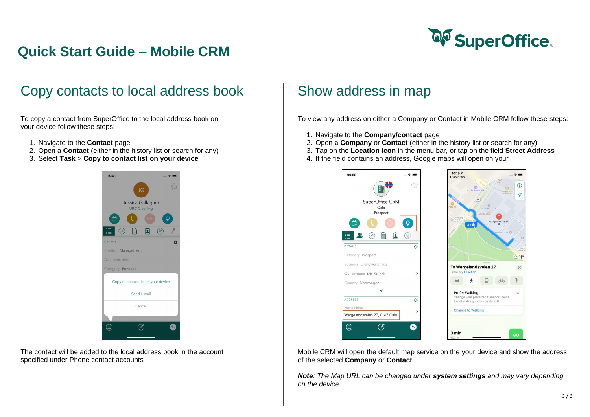

### Copy contacts to local address book

To copy a contact from SuperOffice to the local address book on your device follow these steps:

- 1. Navigate to the **Contact** page
- 2. Open a **Contact** (either in the history list or search for any)
- 3. Select **Task** > **Copy to contact list on your device**



The contact will be added to the local address book in the account specified under Phone contact accounts

### Show address in map

To view any address on either a Company or Contact in Mobile CRM follow these steps:

- 1. Navigate to the **Company/contact** page
- 2. Open a **Company** or **Contact** (either in the history list or search for any)
- 3. Tap on the **Location icon** in the menu bar, or tap on the field **Street Address**
- 4. If the field contains an address, Google maps will open on your



Mobile CRM will open the default map service on the your device and show the address of the selected **Company** or **Contact**.

*Note: The Map URL can be changed under system settings and may vary depending on the device.*

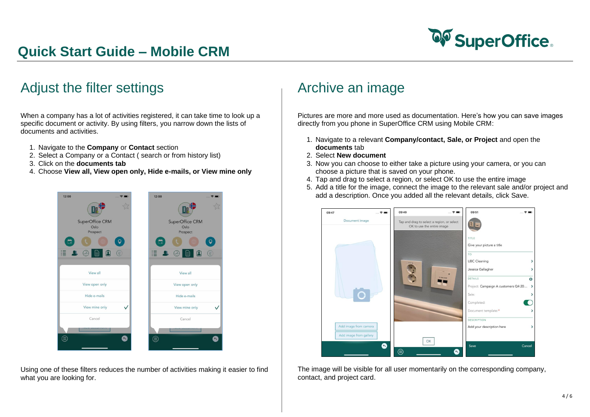

## Adjust the filter settings

When a company has a lot of activities registered, it can take time to look up a specific document or activity. By using filters, you narrow down the lists of documents and activities.

- 1. Navigate to the **Company** or **Contact** section
- 2. Select a Company or a Contact ( search or from history list)
- 3. Click on the **documents tab**
- 4. Choose **View all, View open only, Hide e-mails, or View mine only**



Using one of these filters reduces the number of activities making it easier to find what you are looking for.

### Archive an image

Pictures are more and more used as documentation. Here's how you can save images directly from you phone in SuperOffice CRM using Mobile CRM:

- 1. Navigate to a relevant **Company/contact, Sale, or Project** and open the **documents** tab
- 2. Select **New document**
- 3. Now you can choose to either take a picture using your camera, or you can choose a picture that is saved on your phone.
- 4. Tap and drag to select a region, or select OK to use the entire image
- 5. Add a title for the image, connect the image to the relevant sale and/or project and add a description. Once you added all the relevant details, click Save.



The image will be visible for all user momentarily on the corresponding company, contact, and project card.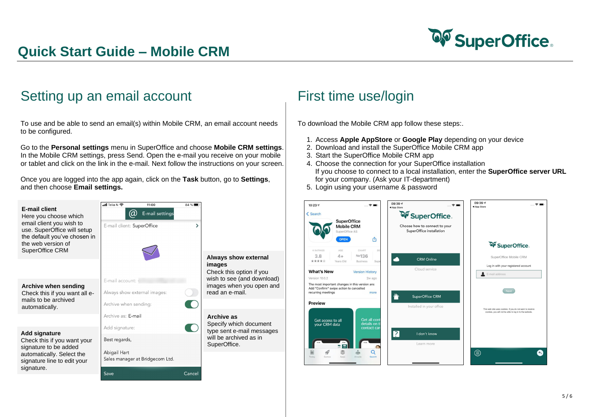

## Setting up an email account

To use and be able to send an email(s) within Mobile CRM, an email account needs to be configured.

Go to the **Personal settings** menu in SuperOffice and choose **Mobile CRM settings**. In the Mobile CRM settings, press Send. Open the e-mail you receive on your mobile or tablet and click on the link in the e-mail. Next follow the instructions on your screen.

Once you are logged into the app again, click on the **Task** button, go to **Settings**, and then choose **Email settings.**

### First time use/login

To download the Mobile CRM app follow these steps:.

- 1. Access **Apple AppStore** or **Google Play** depending on your device
- 2. Download and install the SuperOffice Mobile CRM app
- 3. Start the SuperOffice Mobile CRM app
- 4. Choose the connection for your SuperOffice installation If you choose to connect to a local installation, enter the **SuperOffice server URL** for your company. (Ask your IT-department)
- 5. Login using your username & password